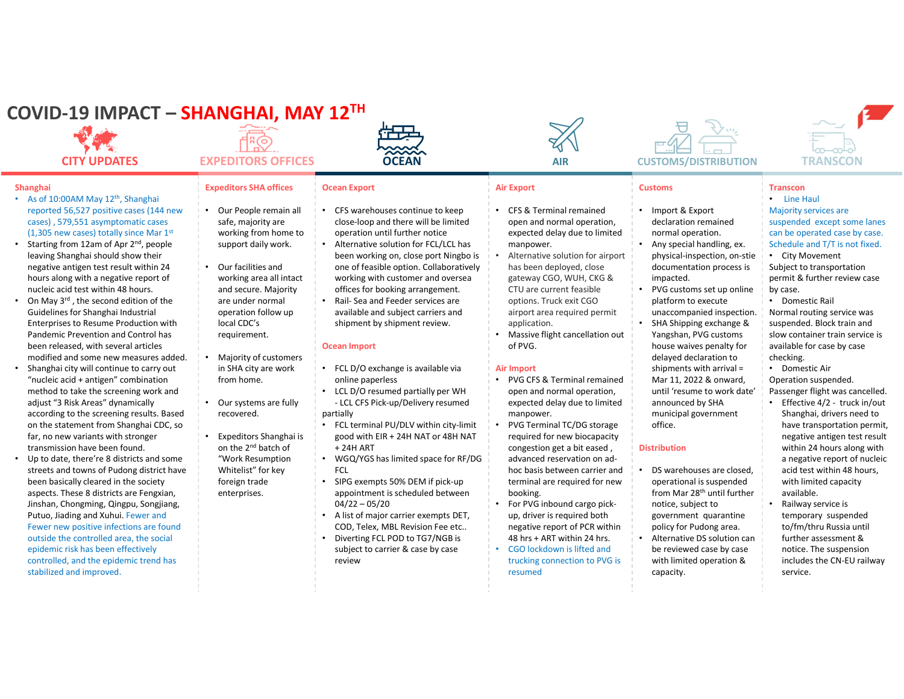## COVID-19 IMPACT – SHANGHAI, MAY 12TH



#### **Shanghai**

- As of 10:00AM May 12<sup>th</sup>, Shanghai reported 56,527 positive cases (144 new (1,305 new cases) totally since Mar 1st
- **SUID-19 IMPACT SHANGHAI, MAY 12<sup>TH</sup><br>
CITY UPDATES<br>
CITY UPDATES<br>
CITY UPDATES<br>
CITY UPDATES<br>
CON EXPEDITORS OFFICES<br>
CON MANY 12<sup>th</sup>, Shanghai<br>
As of 10:00AM May 12<sup>th</sup>, Shanghai<br>
As of 10:00AM May 12<sup>th</sup>, Shanghai<br>
As** • Starting from 12am of Apr 2<sup>nd</sup>, people leaving Shanghai should show their negative antigen test result within 24 hours along with a negative report of nucleic acid test within 48 hours.
- On May 3rd , the second edition of the Guidelines for Shanghai Industrial Enterprises to Resume Production with Pandemic Prevention and Control has been released, with several articles modified and some new measures added.
- Shanghai city will continue to carry out "nucleic acid + antigen" combination method to take the screening work and adjust "3 Risk Areas" dynamically according to the screening results. Based on the statement from Shanghai CDC, so far, no new variants with stronger transmission have been found. • Up to date, there're 8 districts and some streets and towns of Pudong district have
- been basically cleared in the society aspects. These 8 districts are Fengxian, Jinshan, Chongming, Qingpu, Songjiang, Putuo, Jiading and Xuhui. Fewer and Fewer new positive infections are found outside the controlled area, the social epidemic risk has been effectively controlled, and the epidemic trend has stabilized and improved.

#### Expeditors SHA offices | Ocean Export

- safe, majority are working from home to support daily work.
- working area all intact and secure. Majority operation follow up local CDC's requirement.
- Majority of customers in SHA city are work from home.
- recovered.
- Expeditors Shanghai is on the  $2^{nd}$  batch of  $+24H$  ART "Work Resumption Whitelist" for key FCL foreign trade enterprises.



- Our People remain all  $\cdot$  CFS warehouses continue to keep close-loop and there will be limited operation until further notice
	- Our facilities and **the one of feasible option.** Collaboratively • Alternative solution for FCL/LCL has working with customer and oversea offices for booking arrangement.
	- are under normal Rail-Sea and Feeder services are available and subject carriers and shipment by shipment review.

#### Ocean Import

- FCL D/O exchange is available via online paperless
- Our systems are fully <br> LCL CFS Pick-up/Delivery resumed • LCL D/O resumed partially per WH partially
	- FCL terminal PU/DLV within city-limit good with EIR + 24H NAT or 48H NAT
	- WGQ/YGS has limited space for RF/DG **FCL** *COLLECTION*
	- SIPG exempts 50% DEM if pick-up appointment is scheduled between
	- COD, Telex, MBL Revision Fee etc..
	- Diverting FCL POD to TG7/NGB is 48 hrs + ART within 24 hrs. subject to carrier & case by case review



### Air Export

- CFS & Terminal remained open and normal operation, expected delay due to limited manpower.
- **EXECUTE:**<br>
CONFINITY AND THE CONFINITY OF THE CONFINENTIAL CONFINEERS TO THE CONFINEERS TO THE CONFINEERS TO THE CONFINEERS TO THE CONFINEERS TO THE CONFINEERS TO THE CONFINEERS TO THE CONFINEERS TO THE CONFINEERS TO THE **12. TH**<br> **COCEAN**<br>
COCEAN<br>
COCEAN<br>
COCEAN<br>
COCEAN<br>
COCEAN<br>
COCEAN<br>
COCEAN<br>
COCEAN<br>
COCEAN<br>
COCEAN<br>
COCEAN<br>
COCEAN<br>
COCEAN<br>
COCEAN<br>
COCEAN<br>
COCEAN<br>
COCEAN<br>
COCEAN<br>
COCEAN<br>
COCEAN<br>
COCEAN<br>
COCEAN<br>
COCEAN<br>
COCEAN<br>
COCEAN<br>
C **12TH**<br>
• CEEAN AIR CUSTOMS/DISTRIBI<br>
COCEAN AIR CUSTOMS/DISTRIBI<br>
COCEAN AIR CUSTOMS/DISTRIBI<br>
COCEAN AIR CUSTOMS/DISTRIBI<br>
COCEAN AIR CUSTOMS/DISTRIBI<br>
COCEAN AIR CUSTOMS/DISTRIBI<br>
COCEAN AIR CUSTOMS/DISTRIBI<br>
COCEAN AI LATERATE IN THE CONTINUES AND AIR CUSTOMS/DISTERT<br>
COCEAN AIR CUSTOMS/DISTER<br>
COCEAN AIR CUSTOMS/DISTER<br>
COCEAN AIR CUSTOMS/DISTER<br>
COCEAN AIR CUSTOMS/DISTER<br>
COCEAN AIR CUSTOMS/DISTER<br>
COCEAN AIR CUSTOMS/DISTER<br>
DOCEAN A • Alternative solution for airport has been deployed, close gateway CGO, WUH, CKG & CTU are current feasible options. Truck exit CGO airport area required permit application.
	- Massive flight cancellation out Yangshan, PVG customs of PVG.

#### Air Import

- PVG CFS & Terminal remained open and normal operation, expected delay due to limited manpower.
- + 24H ART **congestion get a bit eased** , **Distribution** • PVG Terminal TC/DG storage required for new biocapacity advanced reservation on adhoc basis between carrier and terminal are required for new booking.
	- For PVG inbound cargo pickup, driver is required both negative report of PCR within
	- trucking connection to PVG is resumed capacity.



### Customs Transcon

- Import & Export declaration remained normal operation. • Any special handling, ex.
- physical-inspection, on-stie documentation process is impacted.
- cose-oloo and three will be limited open and onormal operation and three will be limited operation until further notice<br>  $\frac{1}{2}$  operation for FCL/CL has manpower.<br>
Neterative solution for FCL/CL has manpower.<br>
The magn Alternative solution for airport and physical-inspected by the physical instead of a counter that is the process of the content from the section of the content from the section of the content from the section of the sectio PVG customs set up online platform to execute unaccompanied inspection. • SHA Shipping exchange & Yangshan, PVG customs house waives penalty for delayed declaration to shipments with arrival = Mar 11, 2022 & onward, until 'resume to work date' announced by SHA **Figure 1** • Effective 4/2 - truck in/out

municipal government

office.

• DS warehouses are closed, operational is suspended from Mar 28<sup>th</sup> until further notice, subject to government quarantine policy for Pudong area. • Alternative DS solution can be reviewed case by case with limited operation &



### • Line Haul

- Majority services are suspended except some lanes can be operated case by case. Schedule and T/T is not fixed.
- City Movement Subject to transportation permit & further review case by case.
- Domestic Rail Normal routing service was suspended. Block train and slow container train service is available for case by case checking.
- Domestic Air
- Operation suspended. Passenger flight was cancelled.
- Distribution within 24 hours along with **Franscon**<br> **FRANSCON**<br> **FRANSCON**<br> **FRANSCON**<br> **FRANSCON**<br> **FRANSCON**<br> **FRANSCON**<br> **FRANSCON**<br> **FRANSCON**<br> **FRANSCON**<br> **FRANSCON**<br> **Example 12** and the period case by case.<br>
• City Movement<br> **Subject to transportation**<br> Shanghai, drivers need to have transportation permit, negative antigen test result a negative report of nucleic acid test within 48 hours, with limited capacity available.
	- Railway service is temporary suspended to/fm/thru Russia until further assessment & notice. The suspension includes the CN-EU railway service.